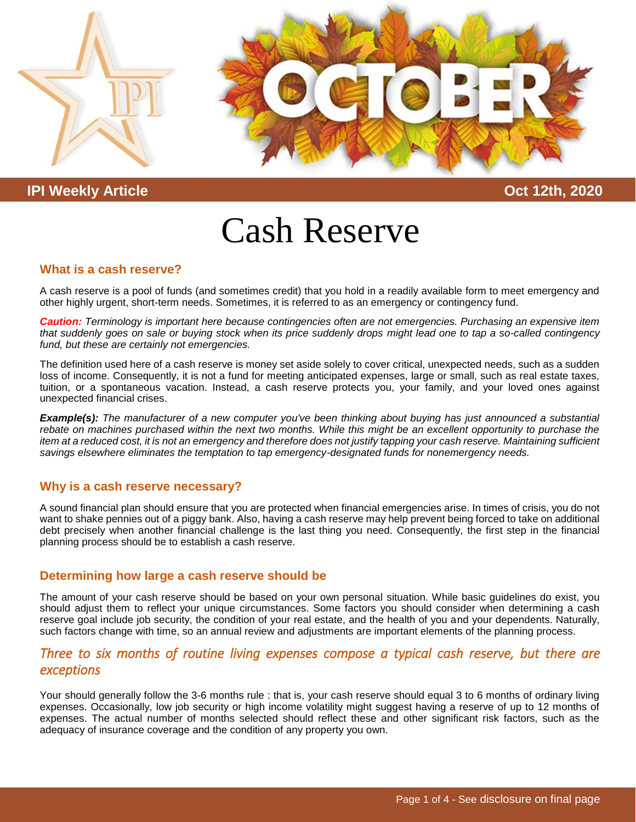

# **IPI Weekly Article Oct 12th, 2020**

# Cash Reserve

#### **What is a cash reserve?**

A cash reserve is a pool of funds (and sometimes credit) that you hold in a readily available form to meet emergency and other highly urgent, short-term needs. Sometimes, it is referred to as an emergency or contingency fund.

*Caution: Terminology is important here because contingencies often are not emergencies. Purchasing an expensive item that suddenly goes on sale or buying stock when its price suddenly drops might lead one to tap a so-called contingency fund, but these are certainly not emergencies.*

The definition used here of a cash reserve is money set aside solely to cover critical, unexpected needs, such as a sudden loss of income. Consequently, it is not a fund for meeting anticipated expenses, large or small, such as real estate taxes, tuition, or a spontaneous vacation. Instead, a cash reserve protects you, your family, and your loved ones against unexpected financial crises.

*Example(s): The manufacturer of a new computer you've been thinking about buying has just announced a substantial*  rebate on machines purchased within the next two months. While this might be an excellent opportunity to purchase the *item at a reduced cost, it is not an emergency and therefore does not justify tapping your cash reserve. Maintaining sufficient savings elsewhere eliminates the temptation to tap emergency-designated funds for nonemergency needs.*

#### **Why is a cash reserve necessary?**

A sound financial plan should ensure that you are protected when financial emergencies arise. In times of crisis, you do not want to shake pennies out of a piggy bank. Also, having a cash reserve may help prevent being forced to take on additional debt precisely when another financial challenge is the last thing you need. Consequently, the first step in the financial planning process should be to establish a cash reserve.

#### **Determining how large a cash reserve should be**

The amount of your cash reserve should be based on your own personal situation. While basic guidelines do exist, you should adjust them to reflect your unique circumstances. Some factors you should consider when determining a cash reserve goal include job security, the condition of your real estate, and the health of you and your dependents. Naturally, such factors change with time, so an annual review and adjustments are important elements of the planning process.

# *Three to six months of routine living expenses compose a typical cash reserve, but there are exceptions*

Your should generally follow the 3-6 months rule : that is, your cash reserve should equal 3 to 6 months of ordinary living expenses. Occasionally, low job security or high income volatility might suggest having a reserve of up to 12 months of expenses. The actual number of months selected should reflect these and other significant risk factors, such as the adequacy of insurance coverage and the condition of any property you own.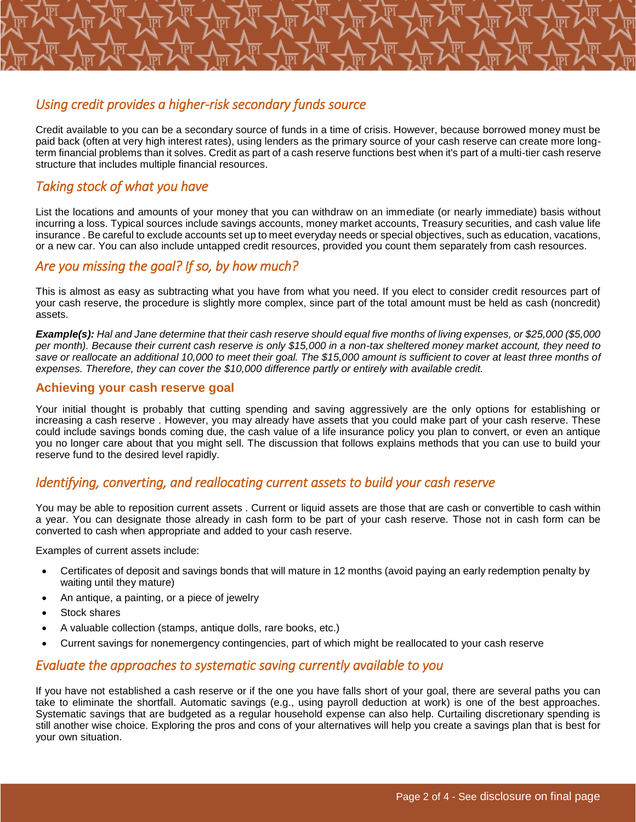# *Using credit provides a higher-risk secondary funds source*

Credit available to you can be a secondary source of funds in a time of crisis. However, because borrowed money must be paid back (often at very high interest rates), using lenders as the primary source of your cash reserve can create more longterm financial problems than it solves. Credit as part of a cash reserve functions best when it's part of a multi-tier cash reserve structure that includes multiple financial resources.

# *Taking stock of what you have*

List the locations and amounts of your money that you can withdraw on an immediate (or nearly immediate) basis without incurring a loss. Typical sources include savings accounts, money market accounts, Treasury securities, and cash value life insurance . Be careful to exclude accounts set up to meet everyday needs or special objectives, such as education, vacations, or a new car. You can also include untapped credit resources, provided you count them separately from cash resources.

# *Are you missing the goal? If so, by how much?*

This is almost as easy as subtracting what you have from what you need. If you elect to consider credit resources part of your cash reserve, the procedure is slightly more complex, since part of the total amount must be held as cash (noncredit) assets.

*Example(s): Hal and Jane determine that their cash reserve should equal five months of living expenses, or \$25,000 (\$5,000 per month). Because their current cash reserve is only \$15,000 in a non-tax sheltered money market account, they need to save or reallocate an additional 10,000 to meet their goal. The \$15,000 amount is sufficient to cover at least three months of expenses. Therefore, they can cover the \$10,000 difference partly or entirely with available credit.*

#### **Achieving your cash reserve goal**

Your initial thought is probably that cutting spending and saving aggressively are the only options for establishing or increasing a cash reserve . However, you may already have assets that you could make part of your cash reserve. These could include savings bonds coming due, the cash value of a life insurance policy you plan to convert, or even an antique you no longer care about that you might sell. The discussion that follows explains methods that you can use to build your reserve fund to the desired level rapidly.

# *Identifying, converting, and reallocating current assets to build your cash reserve*

You may be able to reposition current assets . Current or liquid assets are those that are cash or convertible to cash within a year. You can designate those already in cash form to be part of your cash reserve. Those not in cash form can be converted to cash when appropriate and added to your cash reserve.

Examples of current assets include:

- Certificates of deposit and savings bonds that will mature in 12 months (avoid paying an early redemption penalty by waiting until they mature)
- An antique, a painting, or a piece of jewelry
- Stock shares
- A valuable collection (stamps, antique dolls, rare books, etc.)
- Current savings for nonemergency contingencies, part of which might be reallocated to your cash reserve

#### *Evaluate the approaches to systematic saving currently available to you*

If you have not established a cash reserve or if the one you have falls short of your goal, there are several paths you can take to eliminate the shortfall. Automatic savings (e.g., using payroll deduction at work) is one of the best approaches. Systematic savings that are budgeted as a regular household expense can also help. Curtailing discretionary spending is still another wise choice. Exploring the pros and cons of your alternatives will help you create a savings plan that is best for your own situation.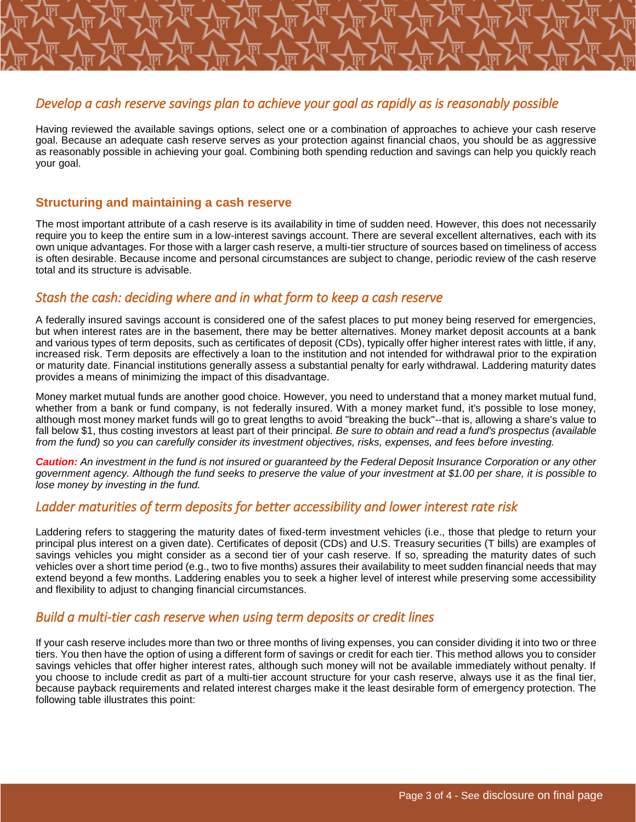# *Develop a cash reserve savings plan to achieve your goal as rapidly as is reasonably possible*

Having reviewed the available savings options, select one or a combination of approaches to achieve your cash reserve goal. Because an adequate cash reserve serves as your protection against financial chaos, you should be as aggressive as reasonably possible in achieving your goal. Combining both spending reduction and savings can help you quickly reach your goal.

#### **Structuring and maintaining a cash reserve**

The most important attribute of a cash reserve is its availability in time of sudden need. However, this does not necessarily require you to keep the entire sum in a low-interest savings account. There are several excellent alternatives, each with its own unique advantages. For those with a larger cash reserve, a multi-tier structure of sources based on timeliness of access is often desirable. Because income and personal circumstances are subject to change, periodic review of the cash reserve total and its structure is advisable.

# *Stash the cash: deciding where and in what form to keep a cash reserve*

A federally insured savings account is considered one of the safest places to put money being reserved for emergencies, but when interest rates are in the basement, there may be better alternatives. Money market deposit accounts at a bank and various types of term deposits, such as certificates of deposit (CDs), typically offer higher interest rates with little, if any, increased risk. Term deposits are effectively a loan to the institution and not intended for withdrawal prior to the expiration or maturity date. Financial institutions generally assess a substantial penalty for early withdrawal. Laddering maturity dates provides a means of minimizing the impact of this disadvantage.

Money market mutual funds are another good choice. However, you need to understand that a money market mutual fund, whether from a bank or fund company, is not federally insured. With a money market fund, it's possible to lose money, although most money market funds will go to great lengths to avoid "breaking the buck"--that is, allowing a share's value to fall below \$1, thus costing investors at least part of their principal. *Be sure to obtain and read a fund's prospectus (available from the fund) so you can carefully consider its investment objectives, risks, expenses, and fees before investing.*

*Caution: An investment in the fund is not insured or guaranteed by the Federal Deposit Insurance Corporation or any other government agency. Although the fund seeks to preserve the value of your investment at \$1.00 per share, it is possible to lose money by investing in the fund.*

#### *Ladder maturities of term deposits for better accessibility and lower interest rate risk*

Laddering refers to staggering the maturity dates of fixed-term investment vehicles (i.e., those that pledge to return your principal plus interest on a given date). Certificates of deposit (CDs) and U.S. Treasury securities (T bills) are examples of savings vehicles you might consider as a second tier of your cash reserve. If so, spreading the maturity dates of such vehicles over a short time period (e.g., two to five months) assures their availability to meet sudden financial needs that may extend beyond a few months. Laddering enables you to seek a higher level of interest while preserving some accessibility and flexibility to adjust to changing financial circumstances.

### *Build a multi-tier cash reserve when using term deposits or credit lines*

If your cash reserve includes more than two or three months of living expenses, you can consider dividing it into two or three tiers. You then have the option of using a different form of savings or credit for each tier. This method allows you to consider savings vehicles that offer higher interest rates, although such money will not be available immediately without penalty. If you choose to include credit as part of a multi-tier account structure for your cash reserve, always use it as the final tier, because payback requirements and related interest charges make it the least desirable form of emergency protection. The following table illustrates this point: